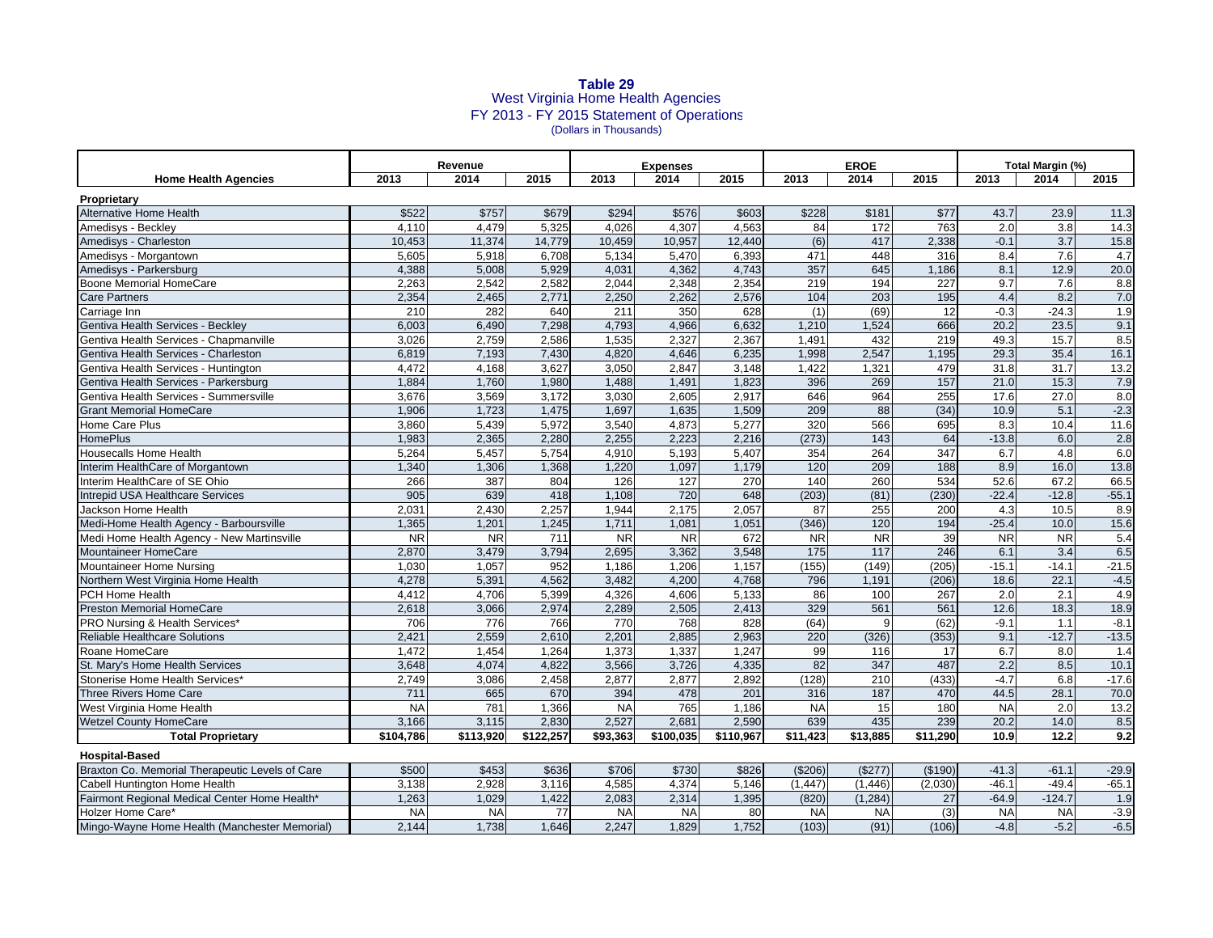## **Table 29** West Virginia Home Health Agencies FY 2013 - FY 2015 Statement of Operations (Dollars in Thousands)

|                                                                          | Revenue      |                |              | <b>Expenses</b> |                |                | <b>EROE</b>      |                                     |               | Total Margin (%) |                |             |
|--------------------------------------------------------------------------|--------------|----------------|--------------|-----------------|----------------|----------------|------------------|-------------------------------------|---------------|------------------|----------------|-------------|
| <b>Home Health Agencies</b>                                              | 2013         | 2014           | 2015         | 2013            | 2014           | 2015           | 2013             | 2014                                | 2015          | 2013             | 2014           | 2015        |
| Proprietary                                                              |              |                |              |                 |                |                |                  |                                     |               |                  |                |             |
| Alternative Home Health                                                  | \$522        | \$757          | \$679        | \$294           | \$576          | \$603          | \$228            | \$181                               | \$77          | 43.7             | 23.9           | 11.3        |
| Amedisys - Beckley                                                       | 4,110        | 4,479          | 5,325        | 4.026           | 4,307          | 4,563          | 84               | 172                                 | 763           | 2.0              | 3.8            | 14.3        |
| Amedisys - Charleston                                                    | 10.453       | 11.374         | 14,779       | 10.459          | 10,957         | 12.440         | (6)              | 417                                 | 2.338         | $-0.1$           | 3.7            | 15.8        |
| Amedisys - Morgantown                                                    | 5,605        | 5,918          | 6,708        | 5,134           | 5,470          | 6,393          | 471              | 448                                 | 316           | 8.4              | 7.6            | 4.7         |
| Amedisys - Parkersburg                                                   | 4,388        | 5,008          | 5,929        | 4,031           | 4,362          | 4,743          | 357              | 645                                 | 1,186         | 8.1              | 12.9           | 20.0        |
| Boone Memorial HomeCare                                                  | 2,263        | 2,542          | 2,582        | 2,044           | 2,348          | 2,354          | 219              | 194                                 | 227           | 9.7              | 7.6            | 8.8         |
| <b>Care Partners</b>                                                     | 2,354        | 2,465          | 2,771        | 2,250           | 2,262          | 2,576          | 104              | 203                                 | 195           | 4.4              | 8.2            | 7.0         |
| Carriage Inn                                                             | 210          | 282            | 640          | 211             | 350            | 628            | (1)              | (69)                                | 12            | $-0.3$           | $-24.3$        | 1.9         |
| Gentiva Health Services - Beckley                                        | 6,003        | 6,490          | 7,298        | 4,793           | 4,966          | 6,632          | 1,210            | 1,524                               | 666           | 20.2             | 23.5           | 9.1         |
| Gentiva Health Services - Chapmanville                                   | 3,026        | 2,759          | 2,586        | 1,535           | 2,327          | 2,367          | 1,491            | 432                                 | 219           | 49.3             | 15.7           | 8.5         |
| Gentiva Health Services - Charleston                                     | 6,819        | 7,193          | 7,430        | 4,820           | 4,646          | 6,235          | 1,998            | 2,547                               | 1,195         | 29.3             | 35.4           | 16.1        |
| Gentiva Health Services - Huntington                                     | 4,472        | 4,168          | 3,627        | 3,050           | 2,847          | 3,148          | 1,422            | 1,321                               | 479           | 31.8             | 31.7           | 13.2        |
| Gentiva Health Services - Parkersburg                                    | 1,884        | 1,760          | 1,980        | 1,488           | 1,491          | 1,823          | 396              | 269                                 | 157           | 21.0             | 15.3           | 7.9         |
| Gentiva Health Services - Summersville                                   | 3,676        | 3,569          | 3,172        | 3,030           | 2,605          | 2,917          | 646              | 964                                 | 255           | 17.6             | 27.0           | 8.0         |
| <b>Grant Memorial HomeCare</b>                                           | 1,906        | 1,723          | 1,475        | 1,697           | 1,635          | 1,509          | 209              | 88                                  | (34)          | 10.9             | 5.1            | $-2.3$      |
| <b>Home Care Plus</b>                                                    | 3,860        | 5,439          | 5,972        | 3.540           | 4,873          | 5,277          | $\overline{320}$ | 566                                 | 695           | 8.3              | 10.4           | 11.6        |
| <b>HomePlus</b>                                                          | 1,983        | 2,365          | 2,280        | 2,255           | 2.223          | 2,216          | (273)            | 143                                 | 64            | $-13.8$          | 6.0            | 2.8         |
| <b>Housecalls Home Health</b>                                            | 5,264        | 5,457          | 5,754        | 4,910           | 5,193          | 5,407          | 354              | 264                                 | 347           | 6.7              | 4.8            | 6.0         |
| Interim HealthCare of Morgantown                                         | 1,340        | 1,306          | 1,368        | 1.220           | 1.097          | 1,179          | 120              | 209                                 | 188           | 8.9              | 16.0           | 13.8        |
| Interim HealthCare of SE Ohio                                            | 266          | 387            | 804          | 126             | 127            | 270            | 140              | 260                                 | 534           | 52.6             | 67.2           | 66.5        |
| Intrepid USA Healthcare Services                                         | 905          | 639            | 418          | 1,108           | 720            | 648            | (203)            | (81)                                | (230)         | $-22.4$          | $-12.8$        | $-55.1$     |
| Jackson Home Health                                                      | 2,031        | 2,430          | 2,257        | 1,944           | 2,175          | 2,057          | 87               | 255                                 | 200           | 4.3              | 10.5           | 8.9         |
| Medi-Home Health Agency - Barboursville                                  | 1,365        | 1,201          | 1,245        | 1,711           | 1,081          | 1.051          | (346)            | 120                                 | 194           | $-25.4$          | 10.0           | 15.6        |
| Medi Home Health Agency - New Martinsville                               | <b>NR</b>    | <b>NR</b>      | 711          | <b>NR</b>       | <b>NR</b>      | 672            | <b>NR</b>        | $\overline{\overline{\mathsf{NR}}}$ | 39            | <b>NR</b>        | <b>NR</b>      | 5.4         |
| <b>Mountaineer HomeCare</b>                                              | 2,870        | 3,479          | 3,794        | 2,695           | 3,362          | 3,548          | 175              | 117                                 | 246           | 6.1              | 3.4            | 6.5         |
| Mountaineer Home Nursing                                                 | 1,030        | 1,057          | 952          | 1,186           | 1,206          | 1,157          | (155)            | (149)                               | (205)         | $-15.1$          | $-14.1$        | $-21.5$     |
| Northern West Virginia Home Health                                       | 4,278        | 5,391          | 4,562        | 3,482           | 4,200          | 4,768          | 796              | 1,191                               | (206)         | 18.6             | 22.1           | $-4.5$      |
| PCH Home Health                                                          | 4,412        | 4,706          | 5,399        | 4,326           | 4,606          | 5,133          | 86               | 100                                 | 267           | 2.0              | 2.1            | 4.9         |
| <b>Preston Memorial HomeCare</b>                                         | 2,618        | 3,066          | 2,974        | 2,289           | 2,505          | 2,413          | 329              | 561                                 | 561           | 12.6             | 18.3           | 18.9        |
| PRO Nursing & Health Services*                                           | 706<br>2,421 | 776            | 766<br>2,610 | 770<br>2,201    | 768            | 828            | (64)             | 9<br>(326)                          | (62)<br>(353) | $-9.1$<br>9.1    | 1.1<br>$-12.7$ | $-8.1$      |
| <b>Reliable Healthcare Solutions</b>                                     | 1.472        | 2,559<br>1.454 | 1,264        | 1.373           | 2,885<br>1,337 | 2,963<br>1,247 | 220<br>99        | 116                                 | 17            | 6.7              |                | $-13.5$     |
| Roane HomeCare<br>St. Mary's Home Health Services                        | 3,648        | 4,074          | 4,822        | 3,566           | 3,726          | 4,335          | 82               | 347                                 | 487           | 2.2              | 8.0<br>8.5     | 1.4<br>10.1 |
| Stonerise Home Health Services*                                          | 2,749        | 3,086          | 2,458        | 2,877           | 2,877          | 2,892          | (128)            | 210                                 | (433)         | $-4.7$           | 6.8            | $-17.6$     |
| Three Rivers Home Care                                                   | 711          | 665            | 670          | 394             | 478            | 201            | 316              | 187                                 | 470           | 44.5             | 28.1           | 70.0        |
| West Virginia Home Health                                                | <b>NA</b>    | 781            | 1,366        | <b>NA</b>       | 765            | 1,186          | <b>NA</b>        | 15                                  | 180           | <b>NA</b>        | 2.0            | 13.2        |
| <b>Wetzel County HomeCare</b>                                            | 3,166        | 3,115          | 2,830        | 2,527           | 2,681          | 2,590          | 639              | 435                                 | 239           | 20.2             | 14.0           | 8.5         |
| <b>Total Proprietary</b>                                                 | \$104,786    | \$113,920      | \$122,257    | \$93,363        | \$100,035      | \$110,967      | \$11,423         | \$13,885                            | \$11,290      | 10.9             | 12.2           | 9.2         |
|                                                                          |              |                |              |                 |                |                |                  |                                     |               |                  |                |             |
| <b>Hospital-Based</b><br>Braxton Co. Memorial Therapeutic Levels of Care | \$500        | \$453          | \$636        | \$706           | \$730          | \$826          | (\$206)          | (\$277)                             | (\$190)       | $-41.3$          | $-61.1$        | $-29.9$     |
| Cabell Huntington Home Health                                            | 3.138        | 2.928          | 3,116        | 4.585           | 4,374          | 5,146          | (1.447)          | (1, 446)                            | (2.030)       | $-46.1$          | $-49.4$        | $-65.1$     |
| Fairmont Regional Medical Center Home Health*                            | 1,263        | 1,029          | 1,422        | 2,083           | 2,314          | 1,395          | (820)            | (1, 284)                            | 27            | $-64.9$          | $-124.7$       | 1.9         |
| <b>Holzer Home Care*</b>                                                 | <b>NA</b>    | <b>NA</b>      | 77           | <b>NA</b>       | <b>NA</b>      | 80             | <b>NA</b>        | <b>NA</b>                           | (3)           | <b>NA</b>        | <b>NA</b>      | $-3.9$      |
| Mingo-Wayne Home Health (Manchester Memorial)                            | 2,144        | 1,738          | 1,646        | 2,247           | 1,829          | 1,752          | (103)            | (91)                                | (106)         | $-4.8$           | $-5.2$         | $-6.5$      |